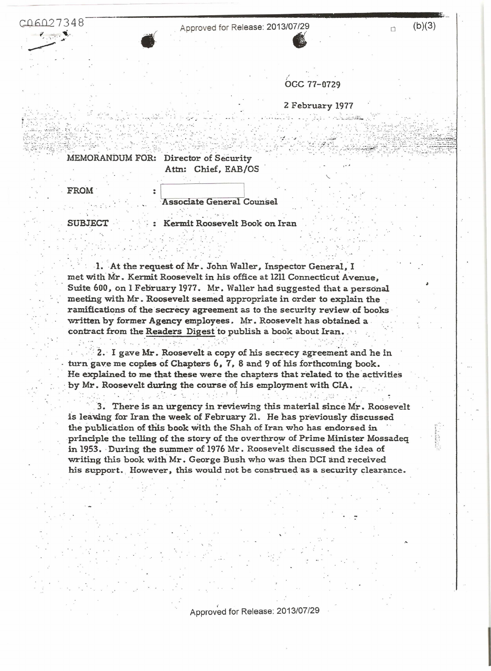C06027348



Approved for Release: 2013/07/29

n

OCC 77-0729

2 February 1977

MEMORANDUM FOR: Director of Security

Attn: Chief, EAB/OS

FROM

Associate General Counsel

**SUBJECT** 

Kermit Roosevelt Book on Iran

1. At the request of Mr. John Waller, Inspector General, I met with Mr. Kermit Roosevelt in his office at 1211 Connecticut Avenue. Suite 600, on 1 February 1977. Mr. Waller had suggested that a personal meeting with Mr. Roosevelt seemed appropriate in order to explain the ramifications of the secrecy agreement as to the security review of books written by former Agency employees. Mr. Roosevelt has obtained a contract from the Readers Digest to publish a book about Iran.

2. I gave Mr. Roosevelt a copy of his secrecy agreement and he in turn gave me copies of Chapters 6, 7, 8 and 9 of his forthcoming book. He explained to me that these were the chapters that related to the activities by Mr. Roosevelt during the course of his employment with CIA.

3. There is an urgency in reviewing this material since Mr. Roosevelt is leaving for Iran the week of February 21. He has previously discussed the publication of this book with the Shah of Iran who has endorsed in principle the telling of the story of the overthrow of Prime Minister Mossadeq in 1953. During the summer of 1976 Mr. Roosevelt discussed the idea of writing this book with Mr. George Bush who was then DCI and received his support. However, this would not be construed as a security clearance.

Approved for Release: 2013/07/29